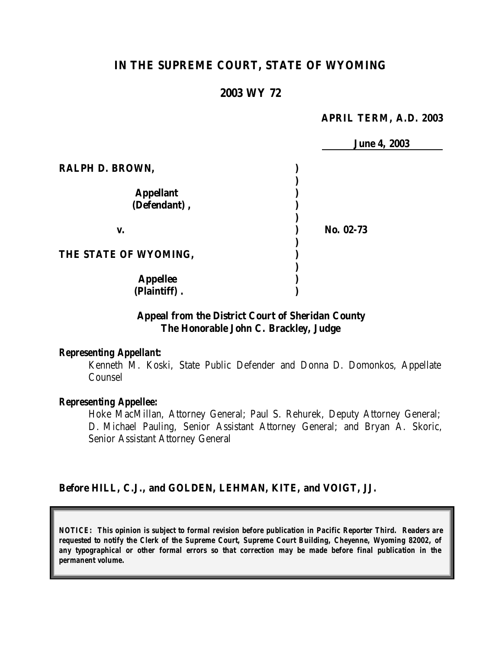# **IN THE SUPREME COURT, STATE OF WYOMING**

### **2003 WY 72**

#### **APRIL TERM, A.D. 2003**

|                       | <b>June 4, 2003</b> |
|-----------------------|---------------------|
| RALPH D. BROWN,       |                     |
|                       |                     |
| <b>Appellant</b>      |                     |
| (Defendant),          |                     |
|                       |                     |
| V.                    | No. 02-73           |
|                       |                     |
| THE STATE OF WYOMING, |                     |
|                       |                     |
| <b>Appellee</b>       |                     |
| (Plaintiff).          |                     |

## **Appeal from the District Court of Sheridan County The Honorable John C. Brackley, Judge**

#### *Representing Appellant:*

Kenneth M. Koski, State Public Defender and Donna D. Domonkos, Appellate Counsel

#### *Representing Appellee:*

Hoke MacMillan, Attorney General; Paul S. Rehurek, Deputy Attorney General; D. Michael Pauling, Senior Assistant Attorney General; and Bryan A. Skoric, Senior Assistant Attorney General

### **Before HILL, C.J., and GOLDEN, LEHMAN, KITE, and VOIGT, JJ.**

*NOTICE: This opinion is subject to formal revision before publication in Pacific Reporter Third. Readers are requested to notify the Clerk of the Supreme Court, Supreme Court Building, Cheyenne, Wyoming 82002, of any typographical or other formal errors so that correction may be made before final publication in the permanent volume.*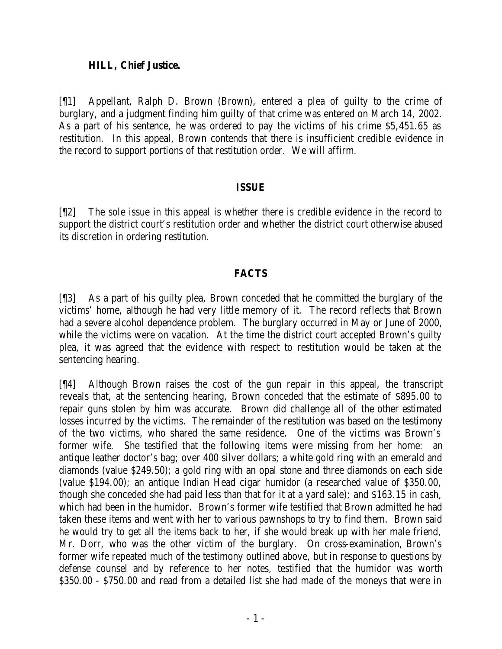### **HILL, Chief Justice.**

[¶1] Appellant, Ralph D. Brown (Brown), entered a plea of guilty to the crime of burglary, and a judgment finding him guilty of that crime was entered on March 14, 2002. As a part of his sentence, he was ordered to pay the victims of his crime \$5,451.65 as restitution. In this appeal, Brown contends that there is insufficient credible evidence in the record to support portions of that restitution order. We will affirm.

## **ISSUE**

[¶2] The sole issue in this appeal is whether there is credible evidence in the record to support the district court's restitution order and whether the district court otherwise abused its discretion in ordering restitution.

## **FACTS**

[¶3] As a part of his guilty plea, Brown conceded that he committed the burglary of the victims' home, although he had very little memory of it. The record reflects that Brown had a severe alcohol dependence problem. The burglary occurred in May or June of 2000, while the victims were on vacation. At the time the district court accepted Brown's guilty plea, it was agreed that the evidence with respect to restitution would be taken at the sentencing hearing.

[¶4] Although Brown raises the cost of the gun repair in this appeal, the transcript reveals that, at the sentencing hearing, Brown conceded that the estimate of \$895.00 to repair guns stolen by him was accurate. Brown did challenge all of the other estimated losses incurred by the victims. The remainder of the restitution was based on the testimony of the two victims, who shared the same residence. One of the victims was Brown's former wife. She testified that the following items were missing from her home: an antique leather doctor's bag; over 400 silver dollars; a white gold ring with an emerald and diamonds (value \$249.50); a gold ring with an opal stone and three diamonds on each side (value \$194.00); an antique Indian Head cigar humidor (a researched value of \$350.00, though she conceded she had paid less than that for it at a yard sale); and \$163.15 in cash, which had been in the humidor. Brown's former wife testified that Brown admitted he had taken these items and went with her to various pawnshops to try to find them. Brown said he would try to get all the items back to her, if she would break up with her male friend, Mr. Dorr, who was the other victim of the burglary. On cross-examination, Brown's former wife repeated much of the testimony outlined above, but in response to questions by defense counsel and by reference to her notes, testified that the humidor was worth \$350.00 - \$750.00 and read from a detailed list she had made of the moneys that were in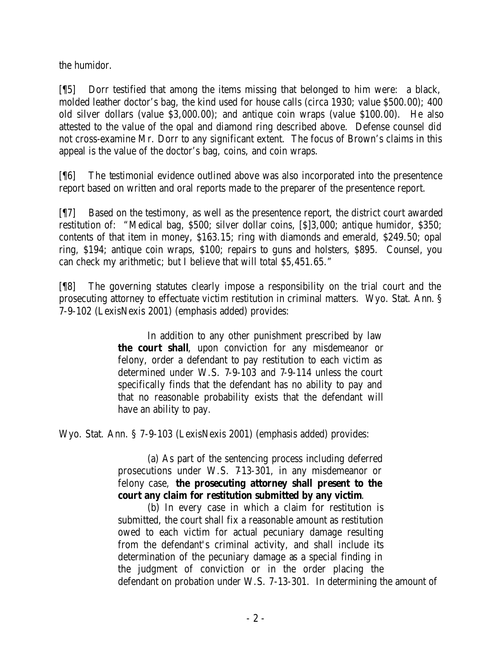the humidor.

[¶5] Dorr testified that among the items missing that belonged to him were: a black, molded leather doctor's bag, the kind used for house calls (circa 1930; value \$500.00); 400 old silver dollars (value \$3,000.00); and antique coin wraps (value \$100.00). He also attested to the value of the opal and diamond ring described above. Defense counsel did not cross-examine Mr. Dorr to any significant extent. The focus of Brown's claims in this appeal is the value of the doctor's bag, coins, and coin wraps.

[¶6] The testimonial evidence outlined above was also incorporated into the presentence report based on written and oral reports made to the preparer of the presentence report.

[¶7] Based on the testimony, as well as the presentence report, the district court awarded restitution of: "Medical bag, \$500; silver dollar coins, [\$]3,000; antique humidor, \$350; contents of that item in money, \$163.15; ring with diamonds and emerald, \$249.50; opal ring, \$194; antique coin wraps, \$100; repairs to guns and holsters, \$895. Counsel, you can check my arithmetic; but I believe that will total \$5,451.65."

[¶8] The governing statutes clearly impose a responsibility on the trial court and the prosecuting attorney to effectuate victim restitution in criminal matters. Wyo. Stat. Ann. § 7-9-102 (LexisNexis 2001) (emphasis added) provides:

> In addition to any other punishment prescribed by law **the court shall**, upon conviction for any misdemeanor or felony, order a defendant to pay restitution to each victim as determined under W.S. 7-9-103 and 7-9-114 unless the court specifically finds that the defendant has no ability to pay and that no reasonable probability exists that the defendant will have an ability to pay.

Wyo. Stat. Ann. § 7-9-103 (LexisNexis 2001) (emphasis added) provides:

(a) As part of the sentencing process including deferred prosecutions under W.S. 7-13-301, in any misdemeanor or felony case, **the prosecuting attorney shall present to the court any claim for restitution submitted by any victim**.

(b) In every case in which a claim for restitution is submitted, the court shall fix a reasonable amount as restitution owed to each victim for actual pecuniary damage resulting from the defendant's criminal activity, and shall include its determination of the pecuniary damage as a special finding in the judgment of conviction or in the order placing the defendant on probation under W.S. 7-13-301. In determining the amount of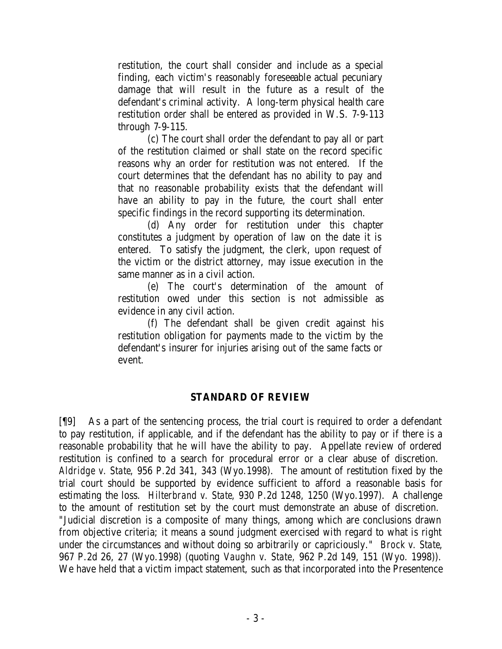restitution, the court shall consider and include as a special finding, each victim's reasonably foreseeable actual pecuniary damage that will result in the future as a result of the defendant's criminal activity. A long-term physical health care restitution order shall be entered as provided in W.S. 7-9-113 through 7-9-115.

(c) The court shall order the defendant to pay all or part of the restitution claimed or shall state on the record specific reasons why an order for restitution was not entered. If the court determines that the defendant has no ability to pay and that no reasonable probability exists that the defendant will have an ability to pay in the future, the court shall enter specific findings in the record supporting its determination.

(d) Any order for restitution under this chapter constitutes a judgment by operation of law on the date it is entered. To satisfy the judgment, the clerk, upon request of the victim or the district attorney, may issue execution in the same manner as in a civil action.

(e) The court's determination of the amount of restitution owed under this section is not admissible as evidence in any civil action.

(f) The defendant shall be given credit against his restitution obligation for payments made to the victim by the defendant's insurer for injuries arising out of the same facts or event.

### **STANDARD OF REVIEW**

[¶9] As a part of the sentencing process, the trial court is required to order a defendant to pay restitution, if applicable, and if the defendant has the ability to pay or if there is a reasonable probability that he will have the ability to pay. Appellate review of ordered restitution is confined to a search for procedural error or a clear abuse of discretion. *Aldridge v. State*, 956 P.2d 341, 343 (Wyo.1998). The amount of restitution fixed by the trial court should be supported by evidence sufficient to afford a reasonable basis for estimating the loss. *Hilterbrand v. State*, 930 P.2d 1248, 1250 (Wyo.1997). A challenge to the amount of restitution set by the court must demonstrate an abuse of discretion. "Judicial discretion is a composite of many things, among which are conclusions drawn from objective criteria; it means a sound judgment exercised with regard to what is right under the circumstances and without doing so arbitrarily or capriciously." *Brock v. State*, 967 P.2d 26, 27 (Wyo.1998) (quoting *Vaughn v. State,* 962 P.2d 149, 151 (Wyo. 1998)). We have held that a victim impact statement, such as that incorporated into the Presentence